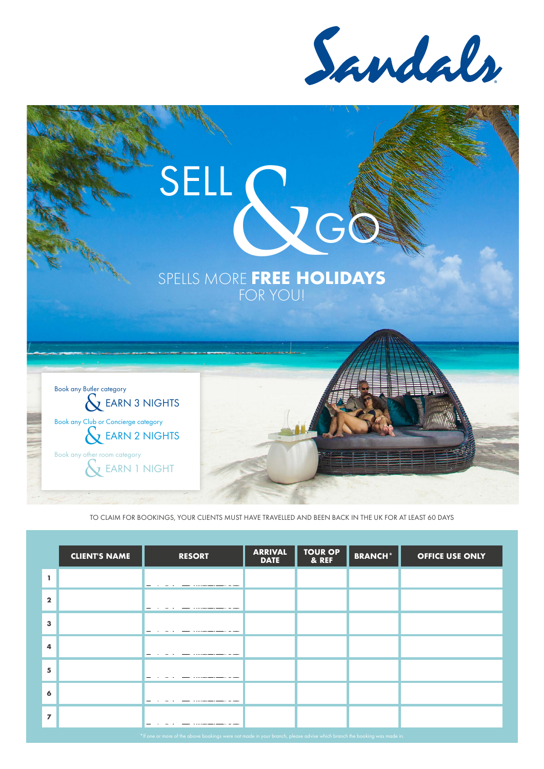Sandals

# SELL CONTREE HO GO





TO CLAIM FOR BOOKINGS, YOUR CLIENTS MUST HAVE TRAVELLED AND BEEN BACK IN THE UK FOR AT LEAST 60 DAYS

|                | <b>CLIENT'S NAME</b> | <b>RESORT</b> | <b>ARRIVAL</b><br><b>DATE</b> | <b>TOUR OP</b><br>& REF | <b>BRANCH*</b> | <b>OFFICE USE ONLY</b> |
|----------------|----------------------|---------------|-------------------------------|-------------------------|----------------|------------------------|
| L.             |                      |               |                               |                         |                |                        |
| $\mathbf{2}$   |                      |               |                               |                         |                |                        |
| $\mathbf{3}$   |                      |               |                               |                         |                |                        |
| $\overline{a}$ |                      |               |                               |                         |                |                        |
| 5              |                      |               |                               |                         |                |                        |
| 6              |                      |               |                               |                         |                |                        |
| $\overline{7}$ |                      |               |                               |                         |                |                        |